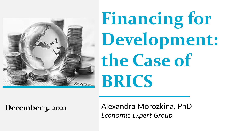

# **Financing for Development: the Case of BRICS**

**December 3, 2021**

Alexandra Morozkina, PhD *Economic Expert Group*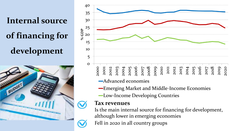## **Internal source of financing for development**





- -Emerging Market and Middle-Income Economies
- -Low-Income Developing Countries

#### **Tax revenues**

Is the main internal source for financing for development, although lower in emerging economies

Fell in 2020 in all country groups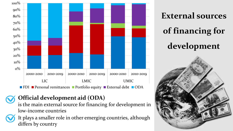

#### **Official development aid (ODA)**

is the main external source for financing for development in low-income countries



**External sources of financing for development**

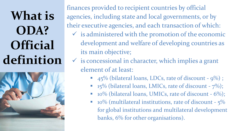**What is ODA? Official definition**



finances provided to recipient countries by official agencies, including state and local governments, or by their executive agencies, and each transaction of which:

- $\checkmark$  is administered with the promotion of the economic development and welfare of developing countries as its main objective;
- $\checkmark$  is concessional in character, which implies a grant element of at least:
	- $\blacksquare$  45% (bilateral loans, LDCs, rate of discount 9%);
	- $\blacksquare$  15% (bilateral loans, LMICs, rate of discount  $7\%)$ ;
	- $\blacksquare$  10% (bilateral loans, UMICs, rate of discount 6%);
	- $\blacksquare$  10% (multilateral institutions, rate of discount  $5\%$ for global institutions and multilateral development banks, 6% for other organisations).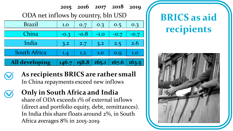#### **2015 2016 2017 2018 2019**

ODA net inflows by country, bln USD

| <b>Brazil</b>         | 1.0    | 0.7    | 0.3           | 0.5                          | 0.3    |
|-----------------------|--------|--------|---------------|------------------------------|--------|
| China                 | $-0.3$ | $-0.8$ | $-1.0$        | $-0.7$                       | $-0.7$ |
| India                 | 3.2    | 2.7    | $3.2^{\circ}$ | 2.5                          | 2.6    |
| <b>South Africa</b>   | 1.4    | 1.2    | 1.0           | O.Q                          | 1.0    |
| <b>All developing</b> | 146.7  |        |               | $\mid$ 158.8   165.1   167.6 | 163.5  |



**As recipients BRICS are rather small** In China repayments exceed new inflows

**Only in South Africa and India** share of ODA exceeds 1% of external inflows (direct and portfolio equity, debt, remittances). In India this share floats around 2%, in South Africa averages 8% in 2015-2019



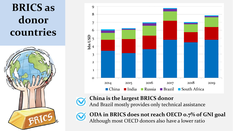**BRICS as donor countries**





**China is the largest BRICS donor**

And Brazil mostly provides only technical assistance



**ODA in BRICS does not reach OECD 0.7% of GNI goal** Although most OECD donors also have a lower ratio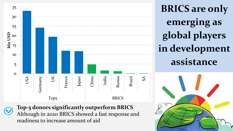

**Top-5 donors significantly outperform BRICS** Although in 2020 BRICS showed a fast response and readiness to increase amount of aid

**BRICS are only emerging as global players in development assistance**